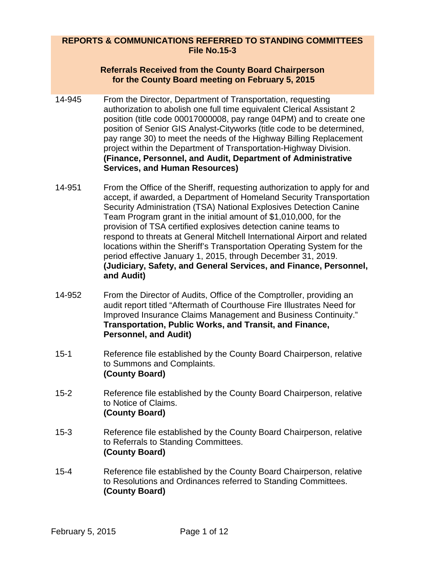## **REPORTS & COMMUNICATIONS REFERRED TO STANDING COMMITTEES File No.15-3**

## **Referrals Received from the County Board Chairperson for the County Board meeting on February 5, 2015**

- 14-945 From the Director, Department of Transportation, requesting authorization to abolish one full time equivalent Clerical Assistant 2 position (title code 00017000008, pay range 04PM) and to create one position of Senior GIS Analyst-Cityworks (title code to be determined, pay range 30) to meet the needs of the Highway Billing Replacement project within the Department of Transportation-Highway Division. **(Finance, Personnel, and Audit, Department of Administrative Services, and Human Resources)**
- 14-951 From the Office of the Sheriff, requesting authorization to apply for and accept, if awarded, a Department of Homeland Security Transportation Security Administration (TSA) National Explosives Detection Canine Team Program grant in the initial amount of \$1,010,000, for the provision of TSA certified explosives detection canine teams to respond to threats at General Mitchell International Airport and related locations within the Sheriff's Transportation Operating System for the period effective January 1, 2015, through December 31, 2019. **(Judiciary, Safety, and General Services, and Finance, Personnel, and Audit)**
- 14-952 From the Director of Audits, Office of the Comptroller, providing an audit report titled "Aftermath of Courthouse Fire Illustrates Need for Improved Insurance Claims Management and Business Continuity." **Transportation, Public Works, and Transit, and Finance, Personnel, and Audit)**
- 15-1 Reference file established by the County Board Chairperson, relative to Summons and Complaints. **(County Board)**
- 15-2 Reference file established by the County Board Chairperson, relative to Notice of Claims. **(County Board)**
- 15-3 Reference file established by the County Board Chairperson, relative to Referrals to Standing Committees. **(County Board)**
- 15-4 Reference file established by the County Board Chairperson, relative to Resolutions and Ordinances referred to Standing Committees. **(County Board)**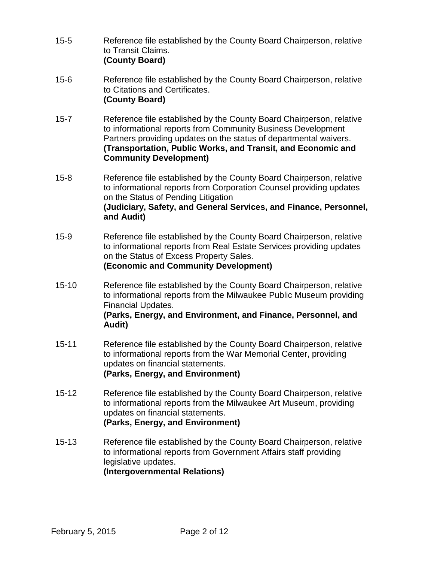- 15-5 Reference file established by the County Board Chairperson, relative to Transit Claims. **(County Board)**
- 15-6 Reference file established by the County Board Chairperson, relative to Citations and Certificates. **(County Board)**
- 15-7 Reference file established by the County Board Chairperson, relative to informational reports from Community Business Development Partners providing updates on the status of departmental waivers. **(Transportation, Public Works, and Transit, and Economic and Community Development)**
- 15-8 Reference file established by the County Board Chairperson, relative to informational reports from Corporation Counsel providing updates on the Status of Pending Litigation **(Judiciary, Safety, and General Services, and Finance, Personnel, and Audit)**
- 15-9 Reference file established by the County Board Chairperson, relative to informational reports from Real Estate Services providing updates on the Status of Excess Property Sales. **(Economic and Community Development)**
- 15-10 Reference file established by the County Board Chairperson, relative to informational reports from the Milwaukee Public Museum providing Financial Updates.

## **(Parks, Energy, and Environment, and Finance, Personnel, and Audit)**

- 15-11 Reference file established by the County Board Chairperson, relative to informational reports from the War Memorial Center, providing updates on financial statements. **(Parks, Energy, and Environment)**
- 15-12 Reference file established by the County Board Chairperson, relative to informational reports from the Milwaukee Art Museum, providing updates on financial statements. **(Parks, Energy, and Environment)**
- 15-13 Reference file established by the County Board Chairperson, relative to informational reports from Government Affairs staff providing legislative updates. **(Intergovernmental Relations)**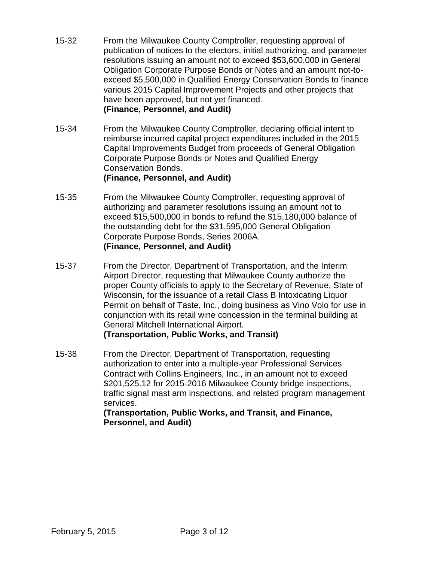- 15-32 From the Milwaukee County Comptroller, requesting approval of publication of notices to the electors, initial authorizing, and parameter resolutions issuing an amount not to exceed \$53,600,000 in General Obligation Corporate Purpose Bonds or Notes and an amount not-toexceed \$5,500,000 in Qualified Energy Conservation Bonds to finance various 2015 Capital Improvement Projects and other projects that have been approved, but not yet financed. **(Finance, Personnel, and Audit)**
- 15-34 From the Milwaukee County Comptroller, declaring official intent to reimburse incurred capital project expenditures included in the 2015 Capital Improvements Budget from proceeds of General Obligation Corporate Purpose Bonds or Notes and Qualified Energy Conservation Bonds. **(Finance, Personnel, and Audit)**
- 15-35 From the Milwaukee County Comptroller, requesting approval of authorizing and parameter resolutions issuing an amount not to exceed \$15,500,000 in bonds to refund the \$15,180,000 balance of the outstanding debt for the \$31,595,000 General Obligation Corporate Purpose Bonds, Series 2006A. **(Finance, Personnel, and Audit)**
- 15-37 From the Director, Department of Transportation, and the Interim Airport Director, requesting that Milwaukee County authorize the proper County officials to apply to the Secretary of Revenue, State of Wisconsin, for the issuance of a retail Class B Intoxicating Liquor Permit on behalf of Taste, Inc., doing business as Vino Volo for use in conjunction with its retail wine concession in the terminal building at General Mitchell International Airport. **(Transportation, Public Works, and Transit)**
- 15-38 From the Director, Department of Transportation, requesting authorization to enter into a multiple-year Professional Services Contract with Collins Engineers, Inc., in an amount not to exceed \$201,525.12 for 2015-2016 Milwaukee County bridge inspections, traffic signal mast arm inspections, and related program management services.

**(Transportation, Public Works, and Transit, and Finance, Personnel, and Audit)**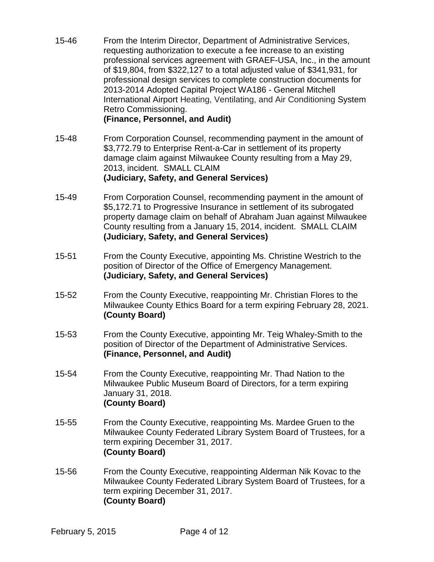15-46 From the Interim Director, Department of Administrative Services, requesting authorization to execute a fee increase to an existing professional services agreement with GRAEF-USA, Inc., in the amount of \$19,804, from \$322,127 to a total adjusted value of \$341,931, for professional design services to complete construction documents for 2013-2014 Adopted Capital Project WA186 - General Mitchell International Airport Heating, Ventilating, and Air Conditioning System Retro Commissioning.

**(Finance, Personnel, and Audit)**

- 15-48 From Corporation Counsel, recommending payment in the amount of \$3,772.79 to Enterprise Rent-a-Car in settlement of its property damage claim against Milwaukee County resulting from a May 29, 2013, incident. SMALL CLAIM **(Judiciary, Safety, and General Services)**
- 15-49 From Corporation Counsel, recommending payment in the amount of \$5,172.71 to Progressive Insurance in settlement of its subrogated property damage claim on behalf of Abraham Juan against Milwaukee County resulting from a January 15, 2014, incident. SMALL CLAIM **(Judiciary, Safety, and General Services)**
- 15-51 From the County Executive, appointing Ms. Christine Westrich to the position of Director of the Office of Emergency Management. **(Judiciary, Safety, and General Services)**
- 15-52 From the County Executive, reappointing Mr. Christian Flores to the Milwaukee County Ethics Board for a term expiring February 28, 2021. **(County Board)**
- 15-53 From the County Executive, appointing Mr. Teig Whaley-Smith to the position of Director of the Department of Administrative Services. **(Finance, Personnel, and Audit)**
- 15-54 From the County Executive, reappointing Mr. Thad Nation to the Milwaukee Public Museum Board of Directors, for a term expiring January 31, 2018. **(County Board)**
- 15-55 From the County Executive, reappointing Ms. Mardee Gruen to the Milwaukee County Federated Library System Board of Trustees, for a term expiring December 31, 2017. **(County Board)**
- 15-56 From the County Executive, reappointing Alderman Nik Kovac to the Milwaukee County Federated Library System Board of Trustees, for a term expiring December 31, 2017. **(County Board)**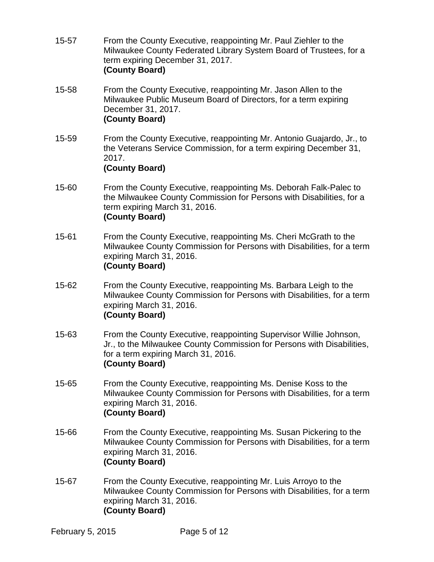- 15-57 From the County Executive, reappointing Mr. Paul Ziehler to the Milwaukee County Federated Library System Board of Trustees, for a term expiring December 31, 2017. **(County Board)**
- 15-58 From the County Executive, reappointing Mr. Jason Allen to the Milwaukee Public Museum Board of Directors, for a term expiring December 31, 2017. **(County Board)**
- 15-59 From the County Executive, reappointing Mr. Antonio Guajardo, Jr., to the Veterans Service Commission, for a term expiring December 31, 2017. **(County Board)**
- 15-60 From the County Executive, reappointing Ms. Deborah Falk-Palec to the Milwaukee County Commission for Persons with Disabilities, for a term expiring March 31, 2016. **(County Board)**
- 15-61 From the County Executive, reappointing Ms. Cheri McGrath to the Milwaukee County Commission for Persons with Disabilities, for a term expiring March 31, 2016. **(County Board)**
- 15-62 From the County Executive, reappointing Ms. Barbara Leigh to the Milwaukee County Commission for Persons with Disabilities, for a term expiring March 31, 2016. **(County Board)**
- 15-63 From the County Executive, reappointing Supervisor Willie Johnson, Jr., to the Milwaukee County Commission for Persons with Disabilities, for a term expiring March 31, 2016. **(County Board)**
- 15-65 From the County Executive, reappointing Ms. Denise Koss to the Milwaukee County Commission for Persons with Disabilities, for a term expiring March 31, 2016. **(County Board)**
- 15-66 From the County Executive, reappointing Ms. Susan Pickering to the Milwaukee County Commission for Persons with Disabilities, for a term expiring March 31, 2016. **(County Board)**
- 15-67 From the County Executive, reappointing Mr. Luis Arroyo to the Milwaukee County Commission for Persons with Disabilities, for a term expiring March 31, 2016. **(County Board)**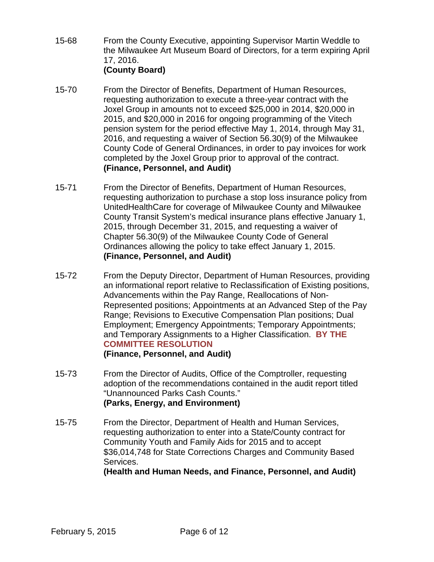- 15-68 From the County Executive, appointing Supervisor Martin Weddle to the Milwaukee Art Museum Board of Directors, for a term expiring April 17, 2016. **(County Board)**
- 15-70 From the Director of Benefits, Department of Human Resources, requesting authorization to execute a three-year contract with the Joxel Group in amounts not to exceed \$25,000 in 2014, \$20,000 in 2015, and \$20,000 in 2016 for ongoing programming of the Vitech pension system for the period effective May 1, 2014, through May 31, 2016, and requesting a waiver of Section 56.30(9) of the Milwaukee County Code of General Ordinances, in order to pay invoices for work completed by the Joxel Group prior to approval of the contract. **(Finance, Personnel, and Audit)**
- 15-71 From the Director of Benefits, Department of Human Resources, requesting authorization to purchase a stop loss insurance policy from UnitedHealthCare for coverage of Milwaukee County and Milwaukee County Transit System's medical insurance plans effective January 1, 2015, through December 31, 2015, and requesting a waiver of Chapter 56.30(9) of the Milwaukee County Code of General Ordinances allowing the policy to take effect January 1, 2015. **(Finance, Personnel, and Audit)**
- 15-72 From the Deputy Director, Department of Human Resources, providing an informational report relative to Reclassification of Existing positions, Advancements within the Pay Range, Reallocations of Non-Represented positions; Appointments at an Advanced Step of the Pay Range; Revisions to Executive Compensation Plan positions; Dual Employment; Emergency Appointments; Temporary Appointments; and Temporary Assignments to a Higher Classification. **BY THE COMMITTEE RESOLUTION (Finance, Personnel, and Audit)**
- 15-73 From the Director of Audits, Office of the Comptroller, requesting adoption of the recommendations contained in the audit report titled "Unannounced Parks Cash Counts." **(Parks, Energy, and Environment)**

15-75 From the Director, Department of Health and Human Services, requesting authorization to enter into a State/County contract for Community Youth and Family Aids for 2015 and to accept \$36,014,748 for State Corrections Charges and Community Based Services.

**(Health and Human Needs, and Finance, Personnel, and Audit)**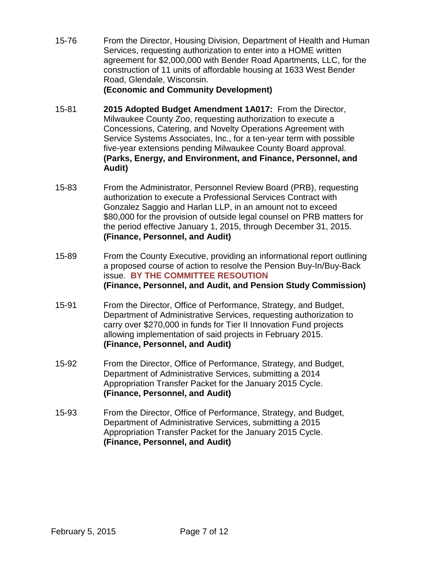15-76 From the Director, Housing Division, Department of Health and Human Services, requesting authorization to enter into a HOME written agreement for \$2,000,000 with Bender Road Apartments, LLC, for the construction of 11 units of affordable housing at 1633 West Bender Road, Glendale, Wisconsin.

#### **(Economic and Community Development)**

- 15-81 **2015 Adopted Budget Amendment 1A017:** From the Director, Milwaukee County Zoo, requesting authorization to execute a Concessions, Catering, and Novelty Operations Agreement with Service Systems Associates, Inc., for a ten-year term with possible five-year extensions pending Milwaukee County Board approval. **(Parks, Energy, and Environment, and Finance, Personnel, and Audit)**
- 15-83 From the Administrator, Personnel Review Board (PRB), requesting authorization to execute a Professional Services Contract with Gonzalez Saggio and Harlan LLP, in an amount not to exceed \$80,000 for the provision of outside legal counsel on PRB matters for the period effective January 1, 2015, through December 31, 2015. **(Finance, Personnel, and Audit)**
- 15-89 From the County Executive, providing an informational report outlining a proposed course of action to resolve the Pension Buy-In/Buy-Back issue. **BY THE COMMITTEE RESOUTION (Finance, Personnel, and Audit, and Pension Study Commission)**
- 15-91 From the Director, Office of Performance, Strategy, and Budget, Department of Administrative Services, requesting authorization to carry over \$270,000 in funds for Tier II Innovation Fund projects allowing implementation of said projects in February 2015. **(Finance, Personnel, and Audit)**
- 15-92 From the Director, Office of Performance, Strategy, and Budget, Department of Administrative Services, submitting a 2014 Appropriation Transfer Packet for the January 2015 Cycle. **(Finance, Personnel, and Audit)**
- 15-93 From the Director, Office of Performance, Strategy, and Budget, Department of Administrative Services, submitting a 2015 Appropriation Transfer Packet for the January 2015 Cycle. **(Finance, Personnel, and Audit)**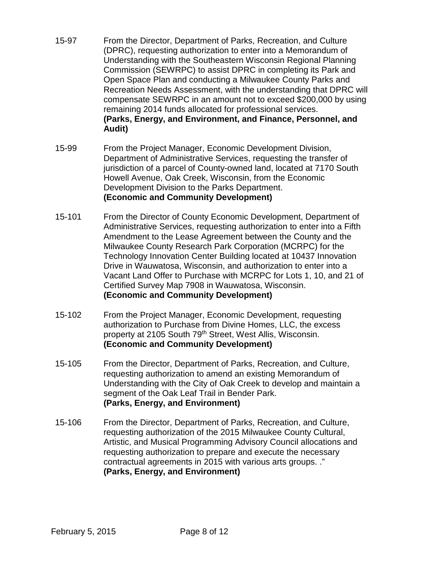- 15-97 From the Director, Department of Parks, Recreation, and Culture (DPRC), requesting authorization to enter into a Memorandum of Understanding with the Southeastern Wisconsin Regional Planning Commission (SEWRPC) to assist DPRC in completing its Park and Open Space Plan and conducting a Milwaukee County Parks and Recreation Needs Assessment, with the understanding that DPRC will compensate SEWRPC in an amount not to exceed \$200,000 by using remaining 2014 funds allocated for professional services. **(Parks, Energy, and Environment, and Finance, Personnel, and Audit)**
- 15-99 From the Project Manager, Economic Development Division, Department of Administrative Services, requesting the transfer of jurisdiction of a parcel of County-owned land, located at 7170 South Howell Avenue, Oak Creek, Wisconsin, from the Economic Development Division to the Parks Department. **(Economic and Community Development)**
- 15-101 From the Director of County Economic Development, Department of Administrative Services, requesting authorization to enter into a Fifth Amendment to the Lease Agreement between the County and the Milwaukee County Research Park Corporation (MCRPC) for the Technology Innovation Center Building located at 10437 Innovation Drive in Wauwatosa, Wisconsin, and authorization to enter into a Vacant Land Offer to Purchase with MCRPC for Lots 1, 10, and 21 of Certified Survey Map 7908 in Wauwatosa, Wisconsin. **(Economic and Community Development)**
- 15-102 From the Project Manager, Economic Development, requesting authorization to Purchase from Divine Homes, LLC, the excess property at 2105 South 79th Street, West Allis, Wisconsin. **(Economic and Community Development)**
- 15-105 From the Director, Department of Parks, Recreation, and Culture, requesting authorization to amend an existing Memorandum of Understanding with the City of Oak Creek to develop and maintain a segment of the Oak Leaf Trail in Bender Park. **(Parks, Energy, and Environment)**
- 15-106 From the Director, Department of Parks, Recreation, and Culture, requesting authorization of the 2015 Milwaukee County Cultural, Artistic, and Musical Programming Advisory Council allocations and requesting authorization to prepare and execute the necessary contractual agreements in 2015 with various arts groups. ." **(Parks, Energy, and Environment)**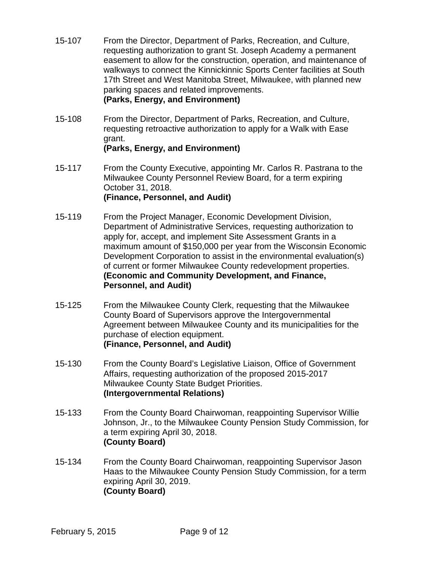- 15-107 From the Director, Department of Parks, Recreation, and Culture, requesting authorization to grant St. Joseph Academy a permanent easement to allow for the construction, operation, and maintenance of walkways to connect the Kinnickinnic Sports Center facilities at South 17th Street and West Manitoba Street, Milwaukee, with planned new parking spaces and related improvements. **(Parks, Energy, and Environment)**
- 15-108 From the Director, Department of Parks, Recreation, and Culture, requesting retroactive authorization to apply for a Walk with Ease grant. **(Parks, Energy, and Environment)**
- 15-117 From the County Executive, appointing Mr. Carlos R. Pastrana to the Milwaukee County Personnel Review Board, for a term expiring October 31, 2018. **(Finance, Personnel, and Audit)**
- 15-119 From the Project Manager, Economic Development Division, Department of Administrative Services, requesting authorization to apply for, accept, and implement Site Assessment Grants in a maximum amount of \$150,000 per year from the Wisconsin Economic Development Corporation to assist in the environmental evaluation(s) of current or former Milwaukee County redevelopment properties. **(Economic and Community Development, and Finance, Personnel, and Audit)**
- 15-125 From the Milwaukee County Clerk, requesting that the Milwaukee County Board of Supervisors approve the Intergovernmental Agreement between Milwaukee County and its municipalities for the purchase of election equipment. **(Finance, Personnel, and Audit)**
- 15-130 From the County Board's Legislative Liaison, Office of Government Affairs, requesting authorization of the proposed 2015-2017 Milwaukee County State Budget Priorities. **(Intergovernmental Relations)**
- 15-133 From the County Board Chairwoman, reappointing Supervisor Willie Johnson, Jr., to the Milwaukee County Pension Study Commission, for a term expiring April 30, 2018. **(County Board)**
- 15-134 From the County Board Chairwoman, reappointing Supervisor Jason Haas to the Milwaukee County Pension Study Commission, for a term expiring April 30, 2019. **(County Board)**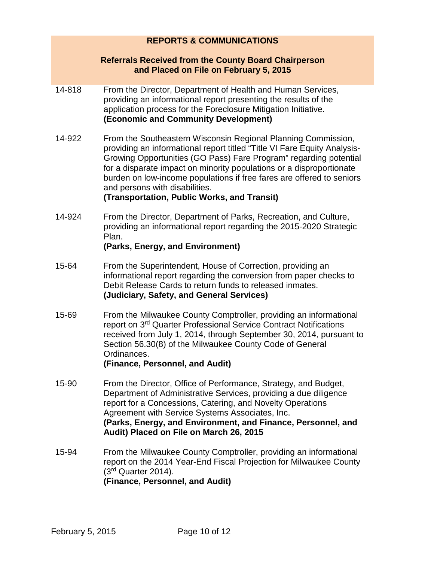## **REPORTS & COMMUNICATIONS**

### **Referrals Received from the County Board Chairperson and Placed on File on February 5, 2015**

- 14-818 From the Director, Department of Health and Human Services, providing an informational report presenting the results of the application process for the Foreclosure Mitigation Initiative. **(Economic and Community Development)**
- 14-922 From the Southeastern Wisconsin Regional Planning Commission, providing an informational report titled "Title VI Fare Equity Analysis-Growing Opportunities (GO Pass) Fare Program" regarding potential for a disparate impact on minority populations or a disproportionate burden on low-income populations if free fares are offered to seniors and persons with disabilities.

### **(Transportation, Public Works, and Transit)**

14-924 From the Director, Department of Parks, Recreation, and Culture, providing an informational report regarding the 2015-2020 Strategic Plan.

## **(Parks, Energy, and Environment)**

- 15-64 From the Superintendent, House of Correction, providing an informational report regarding the conversion from paper checks to Debit Release Cards to return funds to released inmates. **(Judiciary, Safety, and General Services)**
- 15-69 From the Milwaukee County Comptroller, providing an informational report on 3rd Quarter Professional Service Contract Notifications received from July 1, 2014, through September 30, 2014, pursuant to Section 56.30(8) of the Milwaukee County Code of General Ordinances. **(Finance, Personnel, and Audit)**
- 15-90 From the Director, Office of Performance, Strategy, and Budget, Department of Administrative Services, providing a due diligence report for a Concessions, Catering, and Novelty Operations Agreement with Service Systems Associates, Inc. **(Parks, Energy, and Environment, and Finance, Personnel, and Audit) Placed on File on March 26, 2015**
- 15-94 From the Milwaukee County Comptroller, providing an informational report on the 2014 Year-End Fiscal Projection for Milwaukee County  $(3<sup>rd</sup>$  Quarter 2014). **(Finance, Personnel, and Audit)**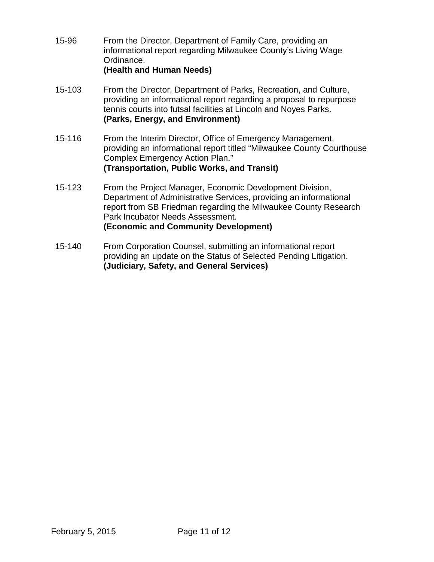- 15-96 From the Director, Department of Family Care, providing an informational report regarding Milwaukee County's Living Wage Ordinance. **(Health and Human Needs)**
- 15-103 From the Director, Department of Parks, Recreation, and Culture, providing an informational report regarding a proposal to repurpose tennis courts into futsal facilities at Lincoln and Noyes Parks. **(Parks, Energy, and Environment)**
- 15-116 From the Interim Director, Office of Emergency Management, providing an informational report titled "Milwaukee County Courthouse Complex Emergency Action Plan." **(Transportation, Public Works, and Transit)**
- 15-123 From the Project Manager, Economic Development Division, Department of Administrative Services, providing an informational report from SB Friedman regarding the Milwaukee County Research Park Incubator Needs Assessment. **(Economic and Community Development)**
- 15-140 From Corporation Counsel, submitting an informational report providing an update on the Status of Selected Pending Litigation. **(Judiciary, Safety, and General Services)**